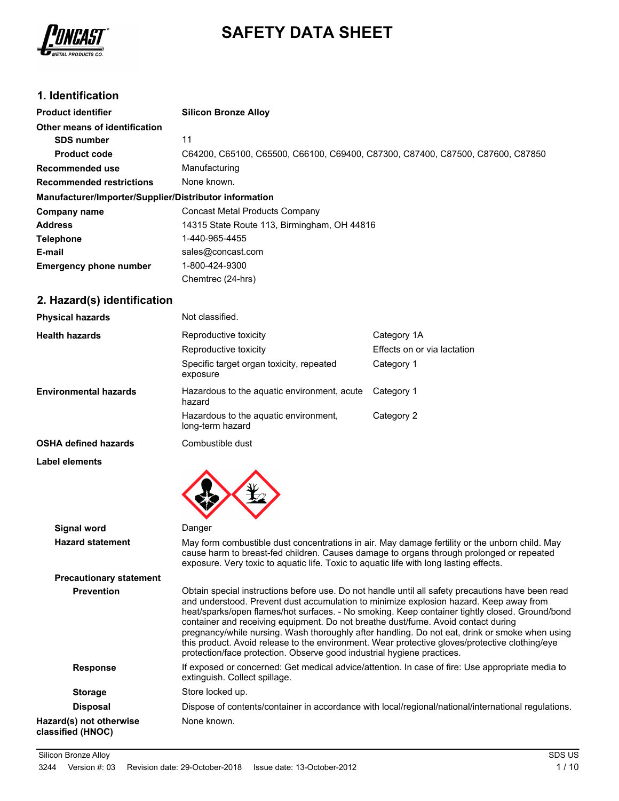

# **SAFETY DATA SHEET**

# **1. Identification**

| <b>Product identifier</b>                              | <b>Silicon Bronze Alloy</b>                                                    |
|--------------------------------------------------------|--------------------------------------------------------------------------------|
| Other means of identification                          |                                                                                |
| <b>SDS number</b>                                      | 11                                                                             |
| <b>Product code</b>                                    | C64200, C65100, C65500, C66100, C69400, C87300, C87400, C87500, C87600, C87850 |
| Recommended use                                        | Manufacturing                                                                  |
| <b>Recommended restrictions</b>                        | None known.                                                                    |
| Manufacturer/Importer/Supplier/Distributor information |                                                                                |
| Company name                                           | Concast Metal Products Company                                                 |
| <b>Address</b>                                         | 14315 State Route 113, Birmingham, OH 44816                                    |
| <b>Telephone</b>                                       | 1-440-965-4455                                                                 |
| E-mail                                                 | sales@concast.com                                                              |
| <b>Emergency phone number</b>                          | 1-800-424-9300                                                                 |
|                                                        | Chemtrec (24-hrs)                                                              |

# **2. Hazard(s) identification**

**Label elements**

| <b>Physical hazards</b>      | Not classified.                                           |                             |
|------------------------------|-----------------------------------------------------------|-----------------------------|
| <b>Health hazards</b>        | Reproductive toxicity                                     | Category 1A                 |
|                              | Reproductive toxicity                                     | Effects on or via lactation |
|                              | Specific target organ toxicity, repeated<br>exposure      | Category 1                  |
| <b>Environmental hazards</b> | Hazardous to the aquatic environment, acute<br>hazard     | Category 1                  |
|                              | Hazardous to the aguatic environment.<br>long-term hazard | Category 2                  |
| <b>OSHA defined hazards</b>  | Combustible dust                                          |                             |



| Signal word                                  | Danger                                                                                                                                                                                                                                                                                                                                                                                                                                                                                                                                                                                                                                                           |
|----------------------------------------------|------------------------------------------------------------------------------------------------------------------------------------------------------------------------------------------------------------------------------------------------------------------------------------------------------------------------------------------------------------------------------------------------------------------------------------------------------------------------------------------------------------------------------------------------------------------------------------------------------------------------------------------------------------------|
| <b>Hazard statement</b>                      | May form combustible dust concentrations in air. May damage fertility or the unborn child. May<br>cause harm to breast-fed children. Causes damage to organs through prolonged or repeated<br>exposure. Very toxic to aquatic life. Toxic to aquatic life with long lasting effects.                                                                                                                                                                                                                                                                                                                                                                             |
| <b>Precautionary statement</b>               |                                                                                                                                                                                                                                                                                                                                                                                                                                                                                                                                                                                                                                                                  |
| <b>Prevention</b>                            | Obtain special instructions before use. Do not handle until all safety precautions have been read<br>and understood. Prevent dust accumulation to minimize explosion hazard. Keep away from<br>heat/sparks/open flames/hot surfaces. - No smoking. Keep container tightly closed. Ground/bond<br>container and receiving equipment. Do not breathe dust/fume. Avoid contact during<br>pregnancy/while nursing. Wash thoroughly after handling. Do not eat, drink or smoke when using<br>this product. Avoid release to the environment. Wear protective gloves/protective clothing/eye<br>protection/face protection. Observe good industrial hygiene practices. |
| <b>Response</b>                              | If exposed or concerned: Get medical advice/attention. In case of fire: Use appropriate media to<br>extinguish. Collect spillage.                                                                                                                                                                                                                                                                                                                                                                                                                                                                                                                                |
| <b>Storage</b>                               | Store locked up.                                                                                                                                                                                                                                                                                                                                                                                                                                                                                                                                                                                                                                                 |
| <b>Disposal</b>                              | Dispose of contents/container in accordance with local/regional/national/international regulations.                                                                                                                                                                                                                                                                                                                                                                                                                                                                                                                                                              |
| Hazard(s) not otherwise<br>classified (HNOC) | None known.                                                                                                                                                                                                                                                                                                                                                                                                                                                                                                                                                                                                                                                      |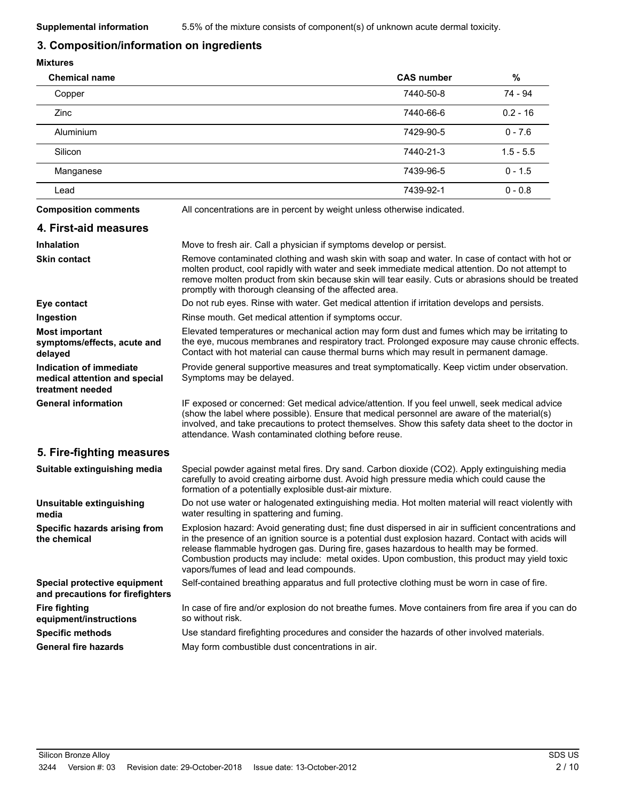## **3. Composition/information on ingredients**

#### **Mixtures**

| <b>Chemical name</b> | <b>CAS number</b> | %           |
|----------------------|-------------------|-------------|
| Copper               | 7440-50-8         | 74 - 94     |
| <b>Zinc</b>          | 7440-66-6         | $0.2 - 16$  |
| Aluminium            | 7429-90-5         | $0 - 7.6$   |
| Silicon              | 7440-21-3         | $1.5 - 5.5$ |
| Manganese            | 7439-96-5         | $0 - 1.5$   |
| Lead                 | 7439-92-1         | $0 - 0.8$   |
|                      |                   |             |

**4. First-aid measures**

**Composition comments** All concentrations are in percent by weight unless otherwise indicated.

- **Inhalation** Move to fresh air. Call a physician if symptoms develop or persist. Remove contaminated clothing and wash skin with soap and water. In case of contact with hot or molten product, cool rapidly with water and seek immediate medical attention. Do not attempt to remove molten product from skin because skin will tear easily. Cuts or abrasions should be treated **Skin contact**
- promptly with thorough cleansing of the affected area. **Eye contact Exercise 3** Do not rub eyes. Rinse with water. Get medical attention if irritation develops and persists. **Ingestion Rinse mouth. Get medical attention if symptoms occur.** Elevated temperatures or mechanical action may form dust and fumes which may be irritating to the eye, mucous membranes and respiratory tract. Prolonged exposure may cause chronic effects. Contact with hot material can cause thermal burns which may result in permanent damage. **Most important symptoms/effects, acute and delayed** Provide general supportive measures and treat symptomatically. Keep victim under observation. Symptoms may be delayed. **Indication of immediate medical attention and special treatment needed** IF exposed or concerned: Get medical advice/attention. If you feel unwell, seek medical advice **General information**
	- (show the label where possible). Ensure that medical personnel are aware of the material(s) involved, and take precautions to protect themselves. Show this safety data sheet to the doctor in attendance. Wash contaminated clothing before reuse.

## **5. Fire-fighting measures**

| Suitable extinguishing media                                     | Special powder against metal fires. Dry sand. Carbon dioxide (CO2). Apply extinguishing media<br>carefully to avoid creating airborne dust. Avoid high pressure media which could cause the<br>formation of a potentially explosible dust-air mixture.                                                                                                                                                                                           |
|------------------------------------------------------------------|--------------------------------------------------------------------------------------------------------------------------------------------------------------------------------------------------------------------------------------------------------------------------------------------------------------------------------------------------------------------------------------------------------------------------------------------------|
| Unsuitable extinguishing<br>media                                | Do not use water or halogenated extinguishing media. Hot molten material will react violently with<br>water resulting in spattering and fuming.                                                                                                                                                                                                                                                                                                  |
| Specific hazards arising from<br>the chemical                    | Explosion hazard: Avoid generating dust; fine dust dispersed in air in sufficient concentrations and<br>in the presence of an ignition source is a potential dust explosion hazard. Contact with acids will<br>release flammable hydrogen gas. During fire, gases hazardous to health may be formed.<br>Combustion products may include: metal oxides. Upon combustion, this product may yield toxic<br>vapors/fumes of lead and lead compounds. |
| Special protective equipment<br>and precautions for firefighters | Self-contained breathing apparatus and full protective clothing must be worn in case of fire.                                                                                                                                                                                                                                                                                                                                                    |
| <b>Fire fighting</b><br>equipment/instructions                   | In case of fire and/or explosion do not breathe fumes. Move containers from fire area if you can do<br>so without risk.                                                                                                                                                                                                                                                                                                                          |
| <b>Specific methods</b>                                          | Use standard firefighting procedures and consider the hazards of other involved materials.                                                                                                                                                                                                                                                                                                                                                       |
| <b>General fire hazards</b>                                      | May form combustible dust concentrations in air.                                                                                                                                                                                                                                                                                                                                                                                                 |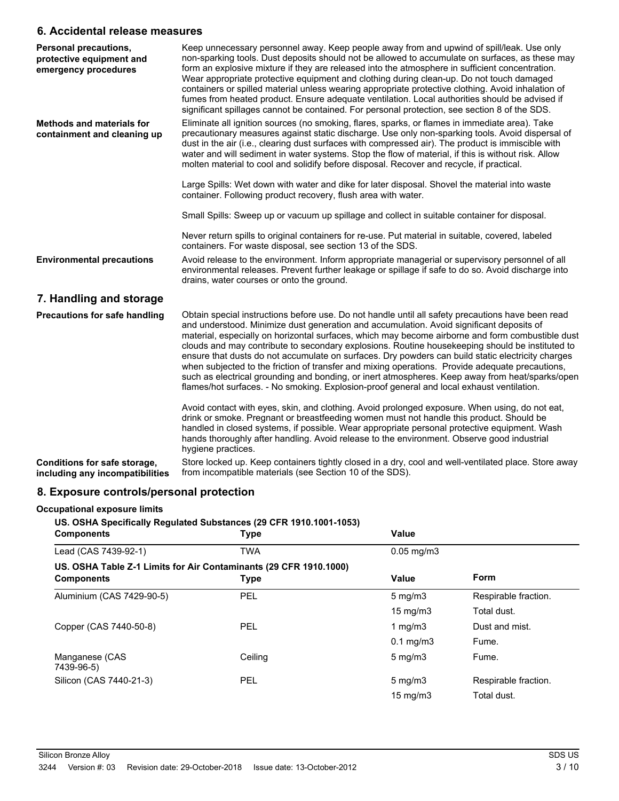## **6. Accidental release measures**

| Personal precautions,<br>protective equipment and<br>emergency procedures | Keep unnecessary personnel away. Keep people away from and upwind of spill/leak. Use only<br>non-sparking tools. Dust deposits should not be allowed to accumulate on surfaces, as these may<br>form an explosive mixture if they are released into the atmosphere in sufficient concentration.<br>Wear appropriate protective equipment and clothing during clean-up. Do not touch damaged<br>containers or spilled material unless wearing appropriate protective clothing. Avoid inhalation of<br>fumes from heated product. Ensure adequate ventilation. Local authorities should be advised if<br>significant spillages cannot be contained. For personal protection, see section 8 of the SDS.                                                                                                         |
|---------------------------------------------------------------------------|--------------------------------------------------------------------------------------------------------------------------------------------------------------------------------------------------------------------------------------------------------------------------------------------------------------------------------------------------------------------------------------------------------------------------------------------------------------------------------------------------------------------------------------------------------------------------------------------------------------------------------------------------------------------------------------------------------------------------------------------------------------------------------------------------------------|
| <b>Methods and materials for</b><br>containment and cleaning up           | Eliminate all ignition sources (no smoking, flares, sparks, or flames in immediate area). Take<br>precautionary measures against static discharge. Use only non-sparking tools. Avoid dispersal of<br>dust in the air (i.e., clearing dust surfaces with compressed air). The product is immiscible with<br>water and will sediment in water systems. Stop the flow of material, if this is without risk. Allow<br>molten material to cool and solidify before disposal. Recover and recycle, if practical.                                                                                                                                                                                                                                                                                                  |
|                                                                           | Large Spills: Wet down with water and dike for later disposal. Shovel the material into waste<br>container. Following product recovery, flush area with water.                                                                                                                                                                                                                                                                                                                                                                                                                                                                                                                                                                                                                                               |
|                                                                           | Small Spills: Sweep up or vacuum up spillage and collect in suitable container for disposal.                                                                                                                                                                                                                                                                                                                                                                                                                                                                                                                                                                                                                                                                                                                 |
|                                                                           | Never return spills to original containers for re-use. Put material in suitable, covered, labeled<br>containers. For waste disposal, see section 13 of the SDS.                                                                                                                                                                                                                                                                                                                                                                                                                                                                                                                                                                                                                                              |
| <b>Environmental precautions</b>                                          | Avoid release to the environment. Inform appropriate managerial or supervisory personnel of all<br>environmental releases. Prevent further leakage or spillage if safe to do so. Avoid discharge into<br>drains, water courses or onto the ground.                                                                                                                                                                                                                                                                                                                                                                                                                                                                                                                                                           |
| 7. Handling and storage                                                   |                                                                                                                                                                                                                                                                                                                                                                                                                                                                                                                                                                                                                                                                                                                                                                                                              |
| Precautions for safe handling                                             | Obtain special instructions before use. Do not handle until all safety precautions have been read<br>and understood. Minimize dust generation and accumulation. Avoid significant deposits of<br>material, especially on horizontal surfaces, which may become airborne and form combustible dust<br>clouds and may contribute to secondary explosions. Routine housekeeping should be instituted to<br>ensure that dusts do not accumulate on surfaces. Dry powders can build static electricity charges<br>when subjected to the friction of transfer and mixing operations. Provide adequate precautions,<br>such as electrical grounding and bonding, or inert atmospheres. Keep away from heat/sparks/open<br>flames/hot surfaces. - No smoking. Explosion-proof general and local exhaust ventilation. |
|                                                                           | Avoid contact with eyes, skin, and clothing. Avoid prolonged exposure. When using, do not eat,<br>drink or smoke. Pregnant or breastfeeding women must not handle this product. Should be<br>handled in closed systems, if possible. Wear appropriate personal protective equipment. Wash<br>hands thoroughly after handling. Avoid release to the environment. Observe good industrial<br>hygiene practices.                                                                                                                                                                                                                                                                                                                                                                                                |
| Conditions for safe storage,<br>including any incompatibilities           | Store locked up. Keep containers tightly closed in a dry, cool and well-ventilated place. Store away<br>from incompatible materials (see Section 10 of the SDS).                                                                                                                                                                                                                                                                                                                                                                                                                                                                                                                                                                                                                                             |

# **8. Exposure controls/personal protection**

#### **Occupational exposure limits**

**US. OSHA Specifically Regulated Substances (29 CFR 1910.1001-1053)**

| <b>Components</b>                                                                      | Type       | <b>Value</b>      |                      |
|----------------------------------------------------------------------------------------|------------|-------------------|----------------------|
| Lead (CAS 7439-92-1)                                                                   | <b>TWA</b> | $0.05$ mg/m $3$   |                      |
| US. OSHA Table Z-1 Limits for Air Contaminants (29 CFR 1910.1000)<br><b>Components</b> | Type       | Value             | Form                 |
| Aluminium (CAS 7429-90-5)                                                              | PEL        | $5 \text{ mg/m}$  | Respirable fraction. |
|                                                                                        |            | $15 \text{ mg/m}$ | Total dust.          |
| Copper (CAS 7440-50-8)                                                                 | PEL        | 1 $mq/m3$         | Dust and mist.       |
|                                                                                        |            | $0.1$ mg/m $3$    | Fume.                |
| Manganese (CAS<br>7439-96-5)                                                           | Ceiling    | $5 \text{ mg/m}$  | Fume.                |
| Silicon (CAS 7440-21-3)                                                                | PEL        | $5 \text{ mg/m}$  | Respirable fraction. |
|                                                                                        |            | $15 \text{ mg/m}$ | Total dust.          |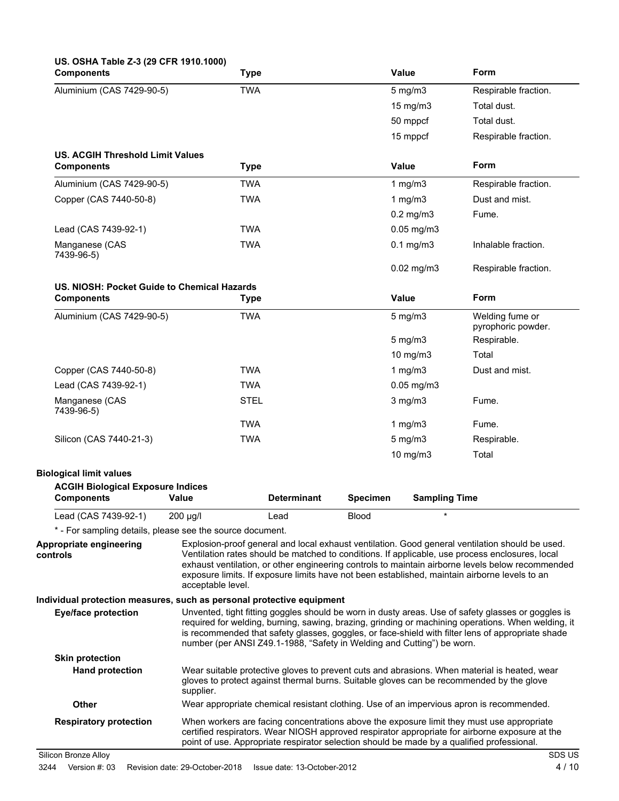| US. OSHA Table Z-3 (29 CFR 1910.1000)<br><b>Components</b>                                          | <b>Type</b>       |                                                                                            |                 | <b>Value</b>         | Form                                                                                                                                                                                                                                                                                                                                                                                                    |
|-----------------------------------------------------------------------------------------------------|-------------------|--------------------------------------------------------------------------------------------|-----------------|----------------------|---------------------------------------------------------------------------------------------------------------------------------------------------------------------------------------------------------------------------------------------------------------------------------------------------------------------------------------------------------------------------------------------------------|
| Aluminium (CAS 7429-90-5)                                                                           | <b>TWA</b>        |                                                                                            |                 | $5$ mg/m $3$         | Respirable fraction.                                                                                                                                                                                                                                                                                                                                                                                    |
|                                                                                                     |                   |                                                                                            |                 | 15 mg/m3             | Total dust.                                                                                                                                                                                                                                                                                                                                                                                             |
|                                                                                                     |                   |                                                                                            |                 | 50 mppcf             | Total dust.                                                                                                                                                                                                                                                                                                                                                                                             |
|                                                                                                     |                   |                                                                                            |                 | 15 mppcf             | Respirable fraction.                                                                                                                                                                                                                                                                                                                                                                                    |
| <b>US. ACGIH Threshold Limit Values</b><br><b>Components</b>                                        | <b>Type</b>       |                                                                                            |                 | Value                | Form                                                                                                                                                                                                                                                                                                                                                                                                    |
| Aluminium (CAS 7429-90-5)                                                                           | <b>TWA</b>        |                                                                                            |                 | 1 $mg/m3$            | Respirable fraction.                                                                                                                                                                                                                                                                                                                                                                                    |
| Copper (CAS 7440-50-8)                                                                              | <b>TWA</b>        |                                                                                            |                 | 1 $mg/m3$            | Dust and mist.                                                                                                                                                                                                                                                                                                                                                                                          |
|                                                                                                     |                   |                                                                                            |                 | $0.2$ mg/m $3$       | Fume.                                                                                                                                                                                                                                                                                                                                                                                                   |
| Lead (CAS 7439-92-1)                                                                                | <b>TWA</b>        |                                                                                            |                 | $0.05$ mg/m $3$      |                                                                                                                                                                                                                                                                                                                                                                                                         |
| Manganese (CAS<br>7439-96-5)                                                                        | <b>TWA</b>        |                                                                                            |                 | $0.1$ mg/m $3$       | Inhalable fraction.                                                                                                                                                                                                                                                                                                                                                                                     |
|                                                                                                     |                   |                                                                                            |                 | $0.02$ mg/m $3$      | Respirable fraction.                                                                                                                                                                                                                                                                                                                                                                                    |
| US. NIOSH: Pocket Guide to Chemical Hazards<br><b>Components</b>                                    | <b>Type</b>       |                                                                                            |                 | Value                | Form                                                                                                                                                                                                                                                                                                                                                                                                    |
| Aluminium (CAS 7429-90-5)                                                                           | <b>TWA</b>        |                                                                                            |                 | $5$ mg/m $3$         | Welding fume or<br>pyrophoric powder.                                                                                                                                                                                                                                                                                                                                                                   |
|                                                                                                     |                   |                                                                                            |                 | $5 \text{ mg/m}$     | Respirable.                                                                                                                                                                                                                                                                                                                                                                                             |
|                                                                                                     |                   |                                                                                            |                 | 10 mg/m3             | Total                                                                                                                                                                                                                                                                                                                                                                                                   |
| Copper (CAS 7440-50-8)                                                                              | <b>TWA</b>        |                                                                                            |                 | 1 mg/m3              | Dust and mist.                                                                                                                                                                                                                                                                                                                                                                                          |
| Lead (CAS 7439-92-1)                                                                                | <b>TWA</b>        |                                                                                            |                 | $0.05$ mg/m $3$      |                                                                                                                                                                                                                                                                                                                                                                                                         |
| Manganese (CAS<br>7439-96-5)                                                                        | <b>STEL</b>       |                                                                                            |                 | $3$ mg/m $3$         | Fume.                                                                                                                                                                                                                                                                                                                                                                                                   |
|                                                                                                     | <b>TWA</b>        |                                                                                            |                 | 1 $mg/m3$            | Fume.                                                                                                                                                                                                                                                                                                                                                                                                   |
| Silicon (CAS 7440-21-3)                                                                             | <b>TWA</b>        |                                                                                            |                 | $5$ mg/m $3$         | Respirable.                                                                                                                                                                                                                                                                                                                                                                                             |
|                                                                                                     |                   |                                                                                            |                 | 10 mg/m3             | Total                                                                                                                                                                                                                                                                                                                                                                                                   |
| <b>Biological limit values</b><br><b>ACGIH Biological Exposure Indices</b><br><b>Components</b>     | Value             | <b>Determinant</b>                                                                         | <b>Specimen</b> | <b>Sampling Time</b> |                                                                                                                                                                                                                                                                                                                                                                                                         |
| Lead (CAS 7439-92-1)                                                                                | 200 µg/l          | Lead                                                                                       | <b>Blood</b>    | $\star$              |                                                                                                                                                                                                                                                                                                                                                                                                         |
| * - For sampling details, please see the source document.                                           |                   |                                                                                            |                 |                      |                                                                                                                                                                                                                                                                                                                                                                                                         |
| Appropriate engineering<br>controls                                                                 | acceptable level. |                                                                                            |                 |                      | Explosion-proof general and local exhaust ventilation. Good general ventilation should be used.<br>Ventilation rates should be matched to conditions. If applicable, use process enclosures, local<br>exhaust ventilation, or other engineering controls to maintain airborne levels below recommended<br>exposure limits. If exposure limits have not been established, maintain airborne levels to an |
| Individual protection measures, such as personal protective equipment<br><b>Eye/face protection</b> |                   | number (per ANSI Z49.1-1988, "Safety in Welding and Cutting") be worn.                     |                 |                      | Unvented, tight fitting goggles should be worn in dusty areas. Use of safety glasses or goggles is<br>required for welding, burning, sawing, brazing, grinding or machining operations. When welding, it<br>is recommended that safety glasses, goggles, or face-shield with filter lens of appropriate shade                                                                                           |
| <b>Skin protection</b>                                                                              |                   |                                                                                            |                 |                      |                                                                                                                                                                                                                                                                                                                                                                                                         |
| <b>Hand protection</b>                                                                              | supplier.         |                                                                                            |                 |                      | Wear suitable protective gloves to prevent cuts and abrasions. When material is heated, wear<br>gloves to protect against thermal burns. Suitable gloves can be recommended by the glove                                                                                                                                                                                                                |
| <b>Other</b>                                                                                        |                   |                                                                                            |                 |                      | Wear appropriate chemical resistant clothing. Use of an impervious apron is recommended.                                                                                                                                                                                                                                                                                                                |
| <b>Respiratory protection</b>                                                                       |                   | point of use. Appropriate respirator selection should be made by a qualified professional. |                 |                      | When workers are facing concentrations above the exposure limit they must use appropriate<br>certified respirators. Wear NIOSH approved respirator appropriate for airborne exposure at the                                                                                                                                                                                                             |
| Silicon Bronze Alloy                                                                                |                   |                                                                                            |                 |                      | SDS US                                                                                                                                                                                                                                                                                                                                                                                                  |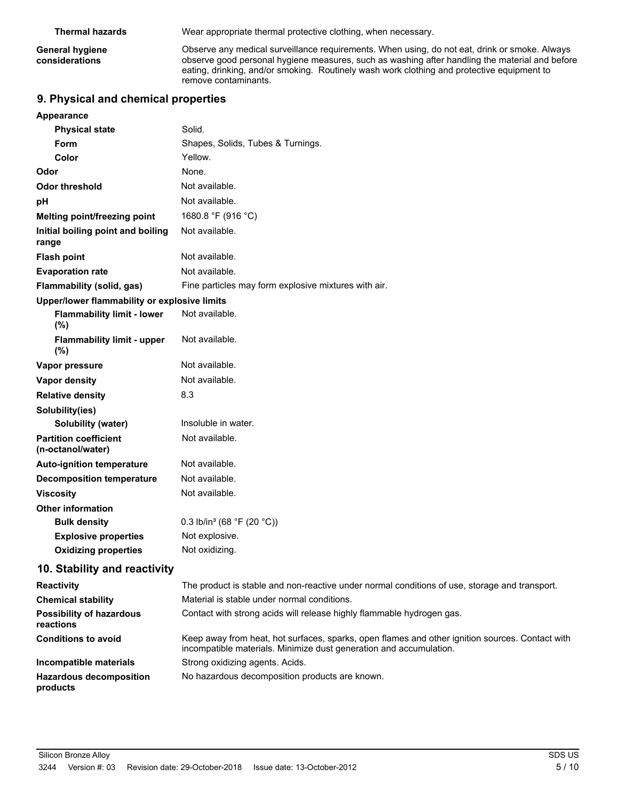**Thermal hazards** Wear appropriate thermal protective clothing, when necessary.

**General hygiene considerations**

Observe any medical surveillance requirements. When using, do not eat, drink or smoke. Always observe good personal hygiene measures, such as washing after handling the material and before eating, drinking, and/or smoking. Routinely wash work clothing and protective equipment to remove contaminants.

## **9. Physical and chemical properties**

| Appearance                                        |                                                                                                                                                                       |
|---------------------------------------------------|-----------------------------------------------------------------------------------------------------------------------------------------------------------------------|
| <b>Physical state</b>                             | Solid.                                                                                                                                                                |
| Form                                              | Shapes, Solids, Tubes & Turnings.                                                                                                                                     |
| Color                                             | Yellow.                                                                                                                                                               |
| Odor                                              | None.                                                                                                                                                                 |
| <b>Odor threshold</b>                             | Not available.                                                                                                                                                        |
| pH                                                | Not available.                                                                                                                                                        |
| Melting point/freezing point                      | 1680.8 °F (916 °C)                                                                                                                                                    |
| Initial boiling point and boiling<br>range        | Not available.                                                                                                                                                        |
| <b>Flash point</b>                                | Not available.                                                                                                                                                        |
| <b>Evaporation rate</b>                           | Not available.                                                                                                                                                        |
| Flammability (solid, gas)                         | Fine particles may form explosive mixtures with air.                                                                                                                  |
| Upper/lower flammability or explosive limits      |                                                                                                                                                                       |
| <b>Flammability limit - lower</b><br>(%)          | Not available.                                                                                                                                                        |
| <b>Flammability limit - upper</b><br>(%)          | Not available.                                                                                                                                                        |
| Vapor pressure                                    | Not available.                                                                                                                                                        |
| Vapor density                                     | Not available.                                                                                                                                                        |
| <b>Relative density</b>                           | 8.3                                                                                                                                                                   |
| Solubility(ies)                                   |                                                                                                                                                                       |
| Solubility (water)                                | Insoluble in water.                                                                                                                                                   |
| <b>Partition coefficient</b><br>(n-octanol/water) | Not available.                                                                                                                                                        |
| <b>Auto-ignition temperature</b>                  | Not available.                                                                                                                                                        |
| <b>Decomposition temperature</b>                  | Not available.                                                                                                                                                        |
| <b>Viscosity</b>                                  | Not available.                                                                                                                                                        |
| <b>Other information</b>                          |                                                                                                                                                                       |
| <b>Bulk density</b>                               | 0.3 lb/in <sup>3</sup> (68 °F (20 °C))                                                                                                                                |
| <b>Explosive properties</b>                       | Not explosive.                                                                                                                                                        |
| <b>Oxidizing properties</b>                       | Not oxidizing.                                                                                                                                                        |
| 10. Stability and reactivity                      |                                                                                                                                                                       |
| <b>Reactivity</b>                                 | The product is stable and non-reactive under normal conditions of use, storage and transport.                                                                         |
| <b>Chemical stability</b>                         | Material is stable under normal conditions.                                                                                                                           |
| <b>Possibility of hazardous</b><br>reactions      | Contact with strong acids will release highly flammable hydrogen gas.                                                                                                 |
| <b>Conditions to avoid</b>                        | Keep away from heat, hot surfaces, sparks, open flames and other ignition sources. Contact with<br>incompatible materials. Minimize dust generation and accumulation. |
| Incompatible materials                            | Strong oxidizing agents. Acids.                                                                                                                                       |

Hazardous decomposition No hazardous decomposition products are known. **products**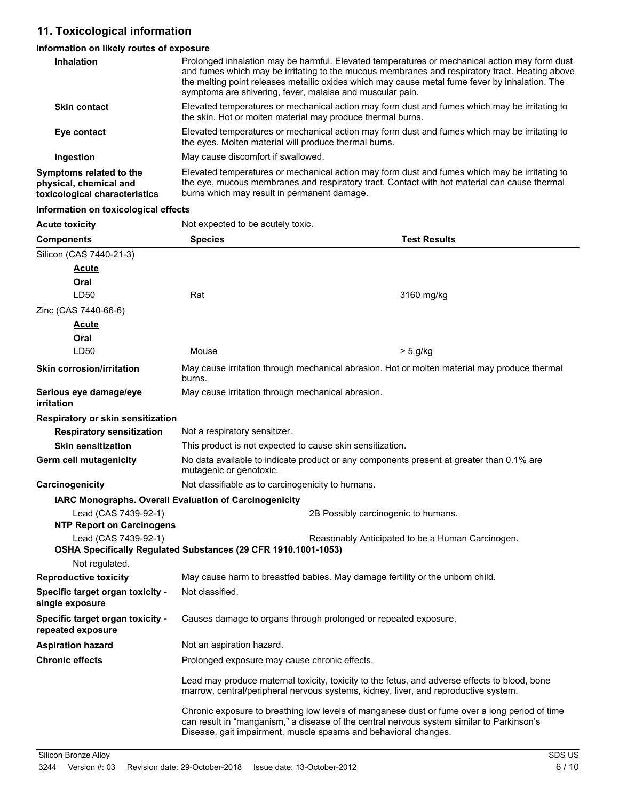# **11. Toxicological information**

# **Information on likely routes of exposure**

| Inhalation                                                                         | Prolonged inhalation may be harmful. Elevated temperatures or mechanical action may form dust<br>and fumes which may be irritating to the mucous membranes and respiratory tract. Heating above<br>the melting point releases metallic oxides which may cause metal fume fever by inhalation. The<br>symptoms are shivering, fever, malaise and muscular pain. |
|------------------------------------------------------------------------------------|----------------------------------------------------------------------------------------------------------------------------------------------------------------------------------------------------------------------------------------------------------------------------------------------------------------------------------------------------------------|
| <b>Skin contact</b>                                                                | Elevated temperatures or mechanical action may form dust and fumes which may be irritating to<br>the skin. Hot or molten material may produce thermal burns.                                                                                                                                                                                                   |
| Eye contact                                                                        | Elevated temperatures or mechanical action may form dust and fumes which may be irritating to<br>the eyes. Molten material will produce thermal burns.                                                                                                                                                                                                         |
| Ingestion                                                                          | May cause discomfort if swallowed.                                                                                                                                                                                                                                                                                                                             |
| Symptoms related to the<br>physical, chemical and<br>toxicological characteristics | Elevated temperatures or mechanical action may form dust and fumes which may be irritating to<br>the eye, mucous membranes and respiratory tract. Contact with hot material can cause thermal<br>burns which may result in permanent damage.                                                                                                                   |

#### **Information on toxicological effects**

| <b>Acute toxicity</b>                                         | Not expected to be acutely toxic.                                                                                                                            |                                                                                               |  |
|---------------------------------------------------------------|--------------------------------------------------------------------------------------------------------------------------------------------------------------|-----------------------------------------------------------------------------------------------|--|
| <b>Components</b>                                             | <b>Species</b>                                                                                                                                               | <b>Test Results</b>                                                                           |  |
| Silicon (CAS 7440-21-3)                                       |                                                                                                                                                              |                                                                                               |  |
| <u>Acute</u>                                                  |                                                                                                                                                              |                                                                                               |  |
| Oral                                                          |                                                                                                                                                              |                                                                                               |  |
| LD50                                                          | Rat                                                                                                                                                          | 3160 mg/kg                                                                                    |  |
| Zinc (CAS 7440-66-6)                                          |                                                                                                                                                              |                                                                                               |  |
| <u>Acute</u>                                                  |                                                                                                                                                              |                                                                                               |  |
| Oral                                                          |                                                                                                                                                              |                                                                                               |  |
| LD50                                                          | Mouse                                                                                                                                                        | > 5 g/kg                                                                                      |  |
| <b>Skin corrosion/irritation</b>                              | burns.                                                                                                                                                       | May cause irritation through mechanical abrasion. Hot or molten material may produce thermal  |  |
| Serious eye damage/eye<br><b>irritation</b>                   | May cause irritation through mechanical abrasion.                                                                                                            |                                                                                               |  |
| Respiratory or skin sensitization                             |                                                                                                                                                              |                                                                                               |  |
| <b>Respiratory sensitization</b>                              | Not a respiratory sensitizer.                                                                                                                                |                                                                                               |  |
| <b>Skin sensitization</b>                                     | This product is not expected to cause skin sensitization.                                                                                                    |                                                                                               |  |
| Germ cell mutagenicity                                        | No data available to indicate product or any components present at greater than 0.1% are<br>mutagenic or genotoxic.                                          |                                                                                               |  |
| Carcinogenicity                                               | Not classifiable as to carcinogenicity to humans.                                                                                                            |                                                                                               |  |
| <b>IARC Monographs. Overall Evaluation of Carcinogenicity</b> |                                                                                                                                                              |                                                                                               |  |
| Lead (CAS 7439-92-1)<br><b>NTP Report on Carcinogens</b>      |                                                                                                                                                              | 2B Possibly carcinogenic to humans.                                                           |  |
| Lead (CAS 7439-92-1)                                          | Reasonably Anticipated to be a Human Carcinogen.                                                                                                             |                                                                                               |  |
|                                                               | OSHA Specifically Regulated Substances (29 CFR 1910.1001-1053)                                                                                               |                                                                                               |  |
| Not regulated.                                                |                                                                                                                                                              |                                                                                               |  |
| <b>Reproductive toxicity</b>                                  | May cause harm to breastfed babies. May damage fertility or the unborn child.                                                                                |                                                                                               |  |
| Specific target organ toxicity -<br>single exposure           | Not classified.                                                                                                                                              |                                                                                               |  |
| Specific target organ toxicity -<br>repeated exposure         | Causes damage to organs through prolonged or repeated exposure.                                                                                              |                                                                                               |  |
| <b>Aspiration hazard</b>                                      | Not an aspiration hazard.                                                                                                                                    |                                                                                               |  |
| <b>Chronic effects</b>                                        | Prolonged exposure may cause chronic effects.                                                                                                                |                                                                                               |  |
|                                                               | marrow, central/peripheral nervous systems, kidney, liver, and reproductive system.                                                                          | Lead may produce maternal toxicity, toxicity to the fetus, and adverse effects to blood, bone |  |
|                                                               | can result in "manganism," a disease of the central nervous system similar to Parkinson's<br>Disease, gait impairment, muscle spasms and behavioral changes. | Chronic exposure to breathing low levels of manganese dust or fume over a long period of time |  |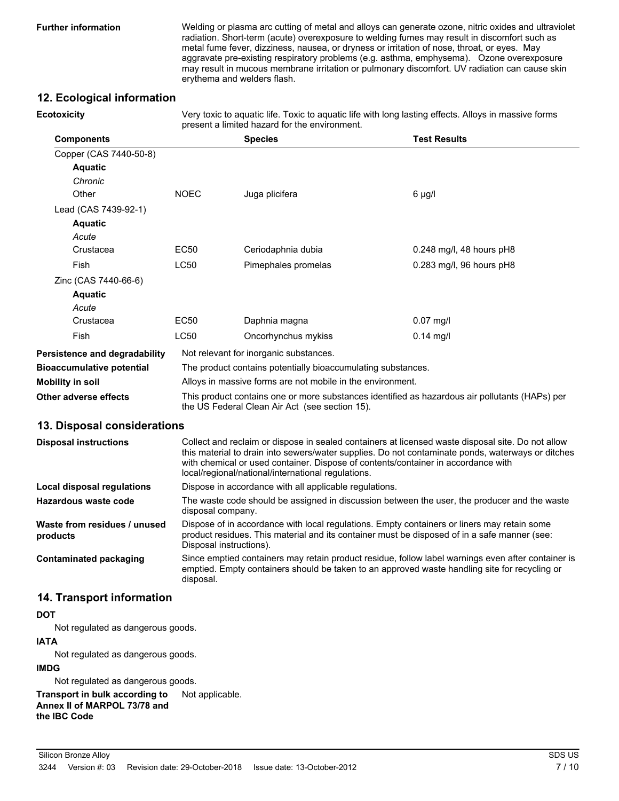**Ecotoxicity**

**Further information** Welding or plasma arc cutting of metal and alloys can generate ozone, nitric oxides and ultraviolet radiation. Short-term (acute) overexposure to welding fumes may result in discomfort such as metal fume fever, dizziness, nausea, or dryness or irritation of nose, throat, or eyes. May aggravate pre-existing respiratory problems (e.g. asthma, emphysema). Ozone overexposure may result in mucous membrane irritation or pulmonary discomfort. UV radiation can cause skin erythema and welders flash.

## **12. Ecological information**

| Very toxic to aquatic life. Toxic to aquatic life with long lasting effects. Alloys in massive forms<br>present a limited hazard for the environment. |
|-------------------------------------------------------------------------------------------------------------------------------------------------------|
|                                                                                                                                                       |

| <b>Components</b>                    |                                                                                                                                                  | <b>Species</b>      | <b>Test Results</b>        |
|--------------------------------------|--------------------------------------------------------------------------------------------------------------------------------------------------|---------------------|----------------------------|
| Copper (CAS 7440-50-8)               |                                                                                                                                                  |                     |                            |
| <b>Aquatic</b>                       |                                                                                                                                                  |                     |                            |
| Chronic                              |                                                                                                                                                  |                     |                            |
| Other                                | <b>NOEC</b>                                                                                                                                      | Juga plicifera      | 6 µg/l                     |
| Lead (CAS 7439-92-1)                 |                                                                                                                                                  |                     |                            |
| <b>Aquatic</b>                       |                                                                                                                                                  |                     |                            |
| Acute                                |                                                                                                                                                  |                     |                            |
| Crustacea                            | EC50                                                                                                                                             | Ceriodaphnia dubia  | $0.248$ mg/l, 48 hours pH8 |
| Fish                                 | <b>LC50</b>                                                                                                                                      | Pimephales promelas | 0.283 mg/l, 96 hours pH8   |
| Zinc (CAS 7440-66-6)                 |                                                                                                                                                  |                     |                            |
| <b>Aquatic</b>                       |                                                                                                                                                  |                     |                            |
| Acute                                |                                                                                                                                                  |                     |                            |
| Crustacea                            | EC50                                                                                                                                             | Daphnia magna       | $0.07$ mg/l                |
| <b>Fish</b>                          | <b>LC50</b>                                                                                                                                      | Oncorhynchus mykiss | $0.14$ mg/l                |
| <b>Persistence and degradability</b> | Not relevant for inorganic substances.                                                                                                           |                     |                            |
| <b>Bioaccumulative potential</b>     | The product contains potentially bioaccumulating substances.                                                                                     |                     |                            |
| Mobility in soil                     | Alloys in massive forms are not mobile in the environment.                                                                                       |                     |                            |
| Other adverse effects                | This product contains one or more substances identified as hazardous air pollutants (HAPs) per<br>the US Federal Clean Air Act (see section 15). |                     |                            |

#### **13. Disposal considerations**

| <b>Disposal instructions</b>             | Collect and reclaim or dispose in sealed containers at licensed waste disposal site. Do not allow<br>this material to drain into sewers/water supplies. Do not contaminate ponds, waterways or ditches<br>with chemical or used container. Dispose of contents/container in accordance with<br>local/regional/national/international regulations. |
|------------------------------------------|---------------------------------------------------------------------------------------------------------------------------------------------------------------------------------------------------------------------------------------------------------------------------------------------------------------------------------------------------|
| Local disposal regulations               | Dispose in accordance with all applicable regulations.                                                                                                                                                                                                                                                                                            |
| Hazardous waste code                     | The waste code should be assigned in discussion between the user, the producer and the waste<br>disposal company.                                                                                                                                                                                                                                 |
| Waste from residues / unused<br>products | Dispose of in accordance with local regulations. Empty containers or liners may retain some<br>product residues. This material and its container must be disposed of in a safe manner (see:<br>Disposal instructions).                                                                                                                            |
| <b>Contaminated packaging</b>            | Since emptied containers may retain product residue, follow label warnings even after container is<br>emptied. Empty containers should be taken to an approved waste handling site for recycling or<br>disposal.                                                                                                                                  |

## **14. Transport information**

#### **DOT**

Not regulated as dangerous goods.

#### **IATA**

Not regulated as dangerous goods.

#### **IMDG**

Not regulated as dangerous goods.

**Transport in bulk according to** Not applicable.

**Annex II of MARPOL 73/78 and the IBC Code**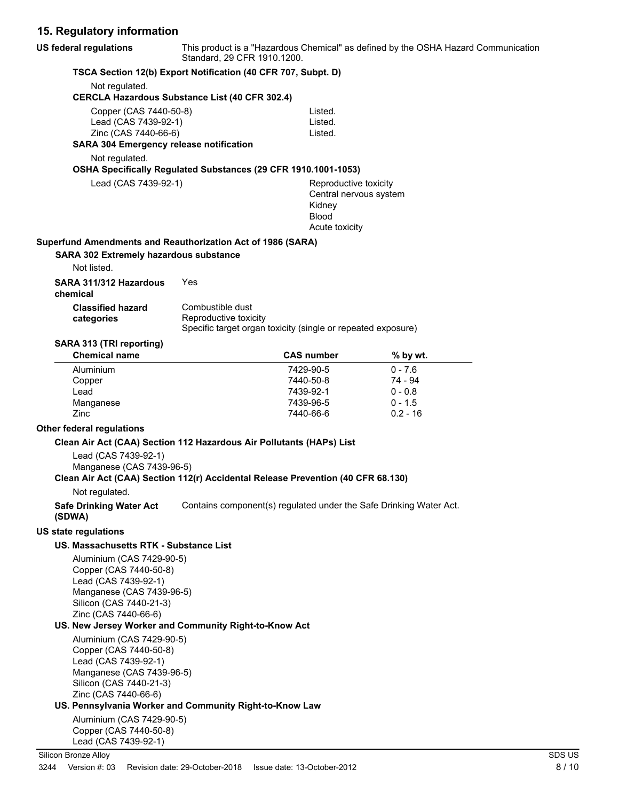# **15. Regulatory information**

| <b>US federal regulations</b>                                                                                                                                                                                                   | Standard, 29 CFR 1910.1200.                                                                               |                                                                                             | This product is a "Hazardous Chemical" as defined by the OSHA Hazard Communication |
|---------------------------------------------------------------------------------------------------------------------------------------------------------------------------------------------------------------------------------|-----------------------------------------------------------------------------------------------------------|---------------------------------------------------------------------------------------------|------------------------------------------------------------------------------------|
|                                                                                                                                                                                                                                 | TSCA Section 12(b) Export Notification (40 CFR 707, Subpt. D)                                             |                                                                                             |                                                                                    |
| Not regulated.                                                                                                                                                                                                                  | <b>CERCLA Hazardous Substance List (40 CFR 302.4)</b>                                                     |                                                                                             |                                                                                    |
| Copper (CAS 7440-50-8)<br>Lead (CAS 7439-92-1)<br>Zinc (CAS 7440-66-6)<br><b>SARA 304 Emergency release notification</b>                                                                                                        |                                                                                                           | Listed.<br>Listed.<br>Listed.                                                               |                                                                                    |
| Not regulated.                                                                                                                                                                                                                  |                                                                                                           |                                                                                             |                                                                                    |
|                                                                                                                                                                                                                                 | OSHA Specifically Regulated Substances (29 CFR 1910.1001-1053)                                            |                                                                                             |                                                                                    |
| Lead (CAS 7439-92-1)                                                                                                                                                                                                            |                                                                                                           | Reproductive toxicity<br>Central nervous system<br>Kidney<br><b>Blood</b><br>Acute toxicity |                                                                                    |
| Superfund Amendments and Reauthorization Act of 1986 (SARA)<br>SARA 302 Extremely hazardous substance<br>Not listed.                                                                                                            |                                                                                                           |                                                                                             |                                                                                    |
| SARA 311/312 Hazardous<br>chemical                                                                                                                                                                                              | Yes                                                                                                       |                                                                                             |                                                                                    |
| <b>Classified hazard</b><br>categories                                                                                                                                                                                          | Combustible dust<br>Reproductive toxicity<br>Specific target organ toxicity (single or repeated exposure) |                                                                                             |                                                                                    |
| SARA 313 (TRI reporting)<br><b>Chemical name</b>                                                                                                                                                                                |                                                                                                           | <b>CAS number</b>                                                                           | % by wt.                                                                           |
| Aluminium                                                                                                                                                                                                                       |                                                                                                           | 7429-90-5                                                                                   | $0 - 7.6$                                                                          |
| Copper                                                                                                                                                                                                                          |                                                                                                           | 7440-50-8                                                                                   | 74 - 94                                                                            |
| Lead                                                                                                                                                                                                                            |                                                                                                           | 7439-92-1                                                                                   | $0 - 0.8$                                                                          |
| Manganese<br>Zinc                                                                                                                                                                                                               |                                                                                                           | 7439-96-5<br>7440-66-6                                                                      | $0 - 1.5$<br>$0.2 - 16$                                                            |
|                                                                                                                                                                                                                                 |                                                                                                           |                                                                                             |                                                                                    |
| <b>Other federal regulations</b>                                                                                                                                                                                                |                                                                                                           |                                                                                             |                                                                                    |
| Clean Air Act (CAA) Section 112 Hazardous Air Pollutants (HAPs) List<br>Lead (CAS 7439-92-1)<br>Manganese (CAS 7439-96-5)<br>Clean Air Act (CAA) Section 112(r) Accidental Release Prevention (40 CFR 68.130)<br>Not regulated. |                                                                                                           |                                                                                             |                                                                                    |
| <b>Safe Drinking Water Act</b><br>(SDWA)                                                                                                                                                                                        | Contains component(s) regulated under the Safe Drinking Water Act.                                        |                                                                                             |                                                                                    |
| <b>US state regulations</b>                                                                                                                                                                                                     |                                                                                                           |                                                                                             |                                                                                    |
| US. Massachusetts RTK - Substance List                                                                                                                                                                                          |                                                                                                           |                                                                                             |                                                                                    |
| Aluminium (CAS 7429-90-5)<br>Copper (CAS 7440-50-8)<br>Lead (CAS 7439-92-1)<br>Manganese (CAS 7439-96-5)<br>Silicon (CAS 7440-21-3)<br>Zinc (CAS 7440-66-6)                                                                     |                                                                                                           |                                                                                             |                                                                                    |
| US. New Jersey Worker and Community Right-to-Know Act                                                                                                                                                                           |                                                                                                           |                                                                                             |                                                                                    |
| Aluminium (CAS 7429-90-5)<br>Copper (CAS 7440-50-8)<br>Lead (CAS 7439-92-1)<br>Manganese (CAS 7439-96-5)<br>Silicon (CAS 7440-21-3)<br>Zinc (CAS 7440-66-6)                                                                     |                                                                                                           |                                                                                             |                                                                                    |

## **US. Pennsylvania Worker and Community Right-to-Know Law**

Aluminium (CAS 7429-90-5) Copper (CAS 7440-50-8) Lead (CAS 7439-92-1)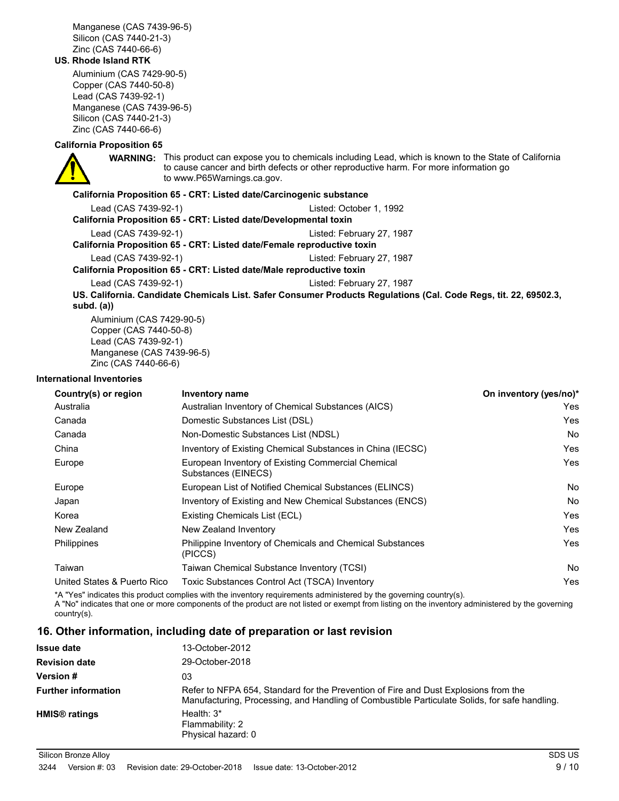Manganese (CAS 7439-96-5) Silicon (CAS 7440-21-3) Zinc (CAS 7440-66-6)

#### **US. Rhode Island RTK**

Aluminium (CAS 7429-90-5) Copper (CAS 7440-50-8) Lead (CAS 7439-92-1) Manganese (CAS 7439-96-5) Silicon (CAS 7440-21-3) Zinc (CAS 7440-66-6)

#### **California Proposition 65**

**WARNING:** This product can expose you to chemicals including Lead, which is known to the State of California to cause cancer and birth defects or other reproductive harm. For more information go to www.P65Warnings.ca.gov.

#### **California Proposition 65 - CRT: Listed date/Carcinogenic substance**

| Lead (CAS 7439-92-1)                                                   | Listed: October 1, 1992                                                                                          |
|------------------------------------------------------------------------|------------------------------------------------------------------------------------------------------------------|
| California Proposition 65 - CRT: Listed date/Developmental toxin       |                                                                                                                  |
| Lead (CAS 7439-92-1)                                                   | Listed: February 27, 1987                                                                                        |
| California Proposition 65 - CRT: Listed date/Female reproductive toxin |                                                                                                                  |
| Lead (CAS 7439-92-1)                                                   | Listed: February 27, 1987                                                                                        |
| California Proposition 65 - CRT: Listed date/Male reproductive toxin   |                                                                                                                  |
| Lead (CAS 7439-92-1)                                                   | Listed: February 27, 1987                                                                                        |
|                                                                        | US. California. Candidate Chemicals List. Safer Consumer Products Regulations (Cal. Code Regs, tit. 22, 69502.3, |
| subd. $(a)$                                                            |                                                                                                                  |
| Aluminium (CAS 7429-90-5)                                              |                                                                                                                  |

Aluminium (CAS 7429-90-5) Copper (CAS 7440-50-8) Lead (CAS 7439-92-1) Manganese (CAS 7439-96-5) Zinc (CAS 7440-66-6)

#### **International Inventories**

| Country(s) or region        | Inventory name                                                            | On inventory (yes/no)* |
|-----------------------------|---------------------------------------------------------------------------|------------------------|
| Australia                   | Australian Inventory of Chemical Substances (AICS)                        | Yes                    |
| Canada                      | Domestic Substances List (DSL)                                            | Yes                    |
| Canada                      | Non-Domestic Substances List (NDSL)                                       | <b>No</b>              |
| China                       | Inventory of Existing Chemical Substances in China (IECSC)                | Yes                    |
| Europe                      | European Inventory of Existing Commercial Chemical<br>Substances (EINECS) | Yes                    |
| Europe                      | European List of Notified Chemical Substances (ELINCS)                    | <b>No</b>              |
| Japan                       | Inventory of Existing and New Chemical Substances (ENCS)                  | No                     |
| Korea                       | Existing Chemicals List (ECL)                                             | Yes                    |
| New Zealand                 | New Zealand Inventory                                                     | Yes                    |
| <b>Philippines</b>          | Philippine Inventory of Chemicals and Chemical Substances<br>(PICCS)      | Yes                    |
| Taiwan                      | Taiwan Chemical Substance Inventory (TCSI)                                | No                     |
| United States & Puerto Rico | Toxic Substances Control Act (TSCA) Inventory                             | Yes                    |

\*A "Yes" indicates this product complies with the inventory requirements administered by the governing country(s).

A "No" indicates that one or more components of the product are not listed or exempt from listing on the inventory administered by the governing country(s).

## **16. Other information, including date of preparation or last revision**

| <b>Issue date</b>          | 13-October-2012                                                                                                                                                                      |
|----------------------------|--------------------------------------------------------------------------------------------------------------------------------------------------------------------------------------|
| <b>Revision date</b>       | 29-October-2018                                                                                                                                                                      |
| <b>Version #</b>           | 03                                                                                                                                                                                   |
| <b>Further information</b> | Refer to NFPA 654, Standard for the Prevention of Fire and Dust Explosions from the<br>Manufacturing, Processing, and Handling of Combustible Particulate Solids, for safe handling. |
| HMIS <sup>®</sup> ratings  | Health: $3*$<br>Flammability: 2<br>Physical hazard: 0                                                                                                                                |